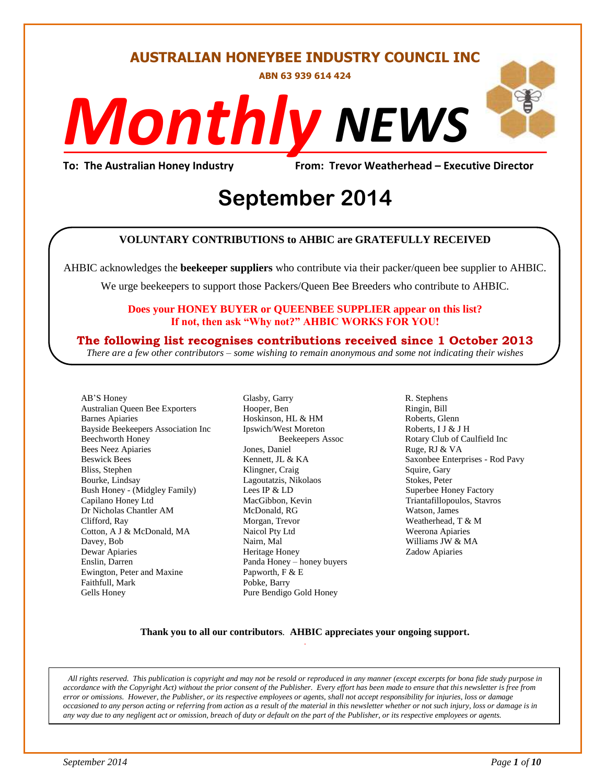#### **AUSTRALIAN HONEYBEE INDUSTRY COUNCIL INC**

**ABN 63 939 614 424**

# *NEWS Monthly*

**To: The Australian Honey Industry From: Trevor Weatherhead – Executive Director**

## *DS* **September 2014**

#### **VOLUNTARY CONTRIBUTIONS to AHBIC are GRATEFULLY RECEIVED**

AHBIC acknowledges the **beekeeper suppliers** who contribute via their packer/queen bee supplier to AHBIC.

We urge beekeepers to support those Packers/Queen Bee Breeders who contribute to AHBIC.

#### **Does your HONEY BUYER or QUEENBEE SUPPLIER appear on this list? If not, then ask "Why not?" AHBIC WORKS FOR YOU!**

#### **The following list recognises contributions received since 1 October 2013**

*There are a few other contributors – some wishing to remain anonymous and some not indicating their wishes*

AB'S Honey Australian Queen Bee Exporters Barnes Apiaries Bayside Beekeepers Association Inc Beechworth Honey Bees Neez Apiaries Beswick Bees Bliss, Stephen Bourke, Lindsay Bush Honey - (Midgley Family) Capilano Honey Ltd Dr Nicholas Chantler AM Clifford, Ray Cotton, A J & McDonald, MA Davey, Bob Dewar Apiaries Enslin, Darren Ewington, Peter and Maxine Faithfull, Mark Gells Honey

Glasby, Garry Hooper, Ben Hoskinson, HL & HM Ipswich/West Moreton Beekeepers Assoc Jones, Daniel Kennett, JL & KA Klingner, Craig Lagoutatzis, Nikolaos Lees IP & LD MacGibbon, Kevin McDonald, RG Morgan, Trevor Naicol Pty Ltd Nairn, Mal Heritage Honey Panda Honey – honey buyers Papworth, F & E Pobke, Barry Pure Bendigo Gold Honey

R. Stephens Ringin, Bill Roberts, Glenn Roberts, I J & J H Rotary Club of Caulfield Inc Ruge, RJ & VA Saxonbee Enterprises - Rod Pavy Squire, Gary Stokes, Peter Superbee Honey Factory Triantafillopoulos, Stavros Watson, James Weatherhead, T & M Weerona Apiaries Williams JW & MA Zadow Apiaries

#### **Thank you to all our contributors***.* **AHBIC appreciates your ongoing support.** .

*All rights reserved. This publication is copyright and may not be resold or reproduced in any manner (except excerpts for bona fide study purpose in accordance with the Copyright Act) without the prior consent of the Publisher. Every effort has been made to ensure that this newsletter is free from error or omissions. However, the Publisher, or its respective employees or agents, shall not accept responsibility for injuries, loss or damage occasioned to any person acting or referring from action as a result of the material in this newsletter whether or not such injury, loss or damage is in any way due to any negligent act or omission, breach of duty or default on the part of the Publisher, or its respective employees or agents.*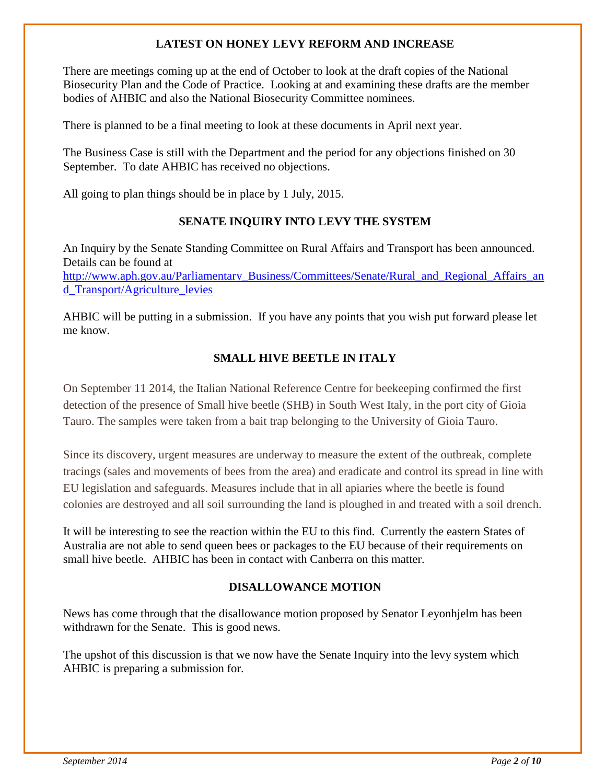#### **LATEST ON HONEY LEVY REFORM AND INCREASE**

There are meetings coming up at the end of October to look at the draft copies of the National Biosecurity Plan and the Code of Practice. Looking at and examining these drafts are the member bodies of AHBIC and also the National Biosecurity Committee nominees.

There is planned to be a final meeting to look at these documents in April next year.

The Business Case is still with the Department and the period for any objections finished on 30 September. To date AHBIC has received no objections.

All going to plan things should be in place by 1 July, 2015.

#### **SENATE INQUIRY INTO LEVY THE SYSTEM**

An Inquiry by the Senate Standing Committee on Rural Affairs and Transport has been announced. Details can be found at

[http://www.aph.gov.au/Parliamentary\\_Business/Committees/Senate/Rural\\_and\\_Regional\\_Affairs\\_an](http://www.aph.gov.au/Parliamentary_Business/Committees/Senate/Rural_and_Regional_Affairs_and_Transport/Agriculture_levies) [d\\_Transport/Agriculture\\_levies](http://www.aph.gov.au/Parliamentary_Business/Committees/Senate/Rural_and_Regional_Affairs_and_Transport/Agriculture_levies)

AHBIC will be putting in a submission. If you have any points that you wish put forward please let me know.

#### **SMALL HIVE BEETLE IN ITALY**

On September 11 2014, the Italian National Reference Centre for beekeeping confirmed the first detection of the presence of Small hive beetle (SHB) in South West Italy, in the port city of Gioia Tauro. The samples were taken from a bait trap belonging to the University of Gioia Tauro.

Since its discovery, urgent measures are underway to measure the extent of the outbreak, complete tracings (sales and movements of bees from the area) and eradicate and control its spread in line with EU legislation and safeguards. Measures include that in all apiaries where the beetle is found colonies are destroyed and all soil surrounding the land is ploughed in and treated with a soil drench.

It will be interesting to see the reaction within the EU to this find. Currently the eastern States of Australia are not able to send queen bees or packages to the EU because of their requirements on small hive beetle. AHBIC has been in contact with Canberra on this matter.

#### **DISALLOWANCE MOTION**

News has come through that the disallowance motion proposed by Senator Leyonhjelm has been withdrawn for the Senate. This is good news.

The upshot of this discussion is that we now have the Senate Inquiry into the levy system which AHBIC is preparing a submission for.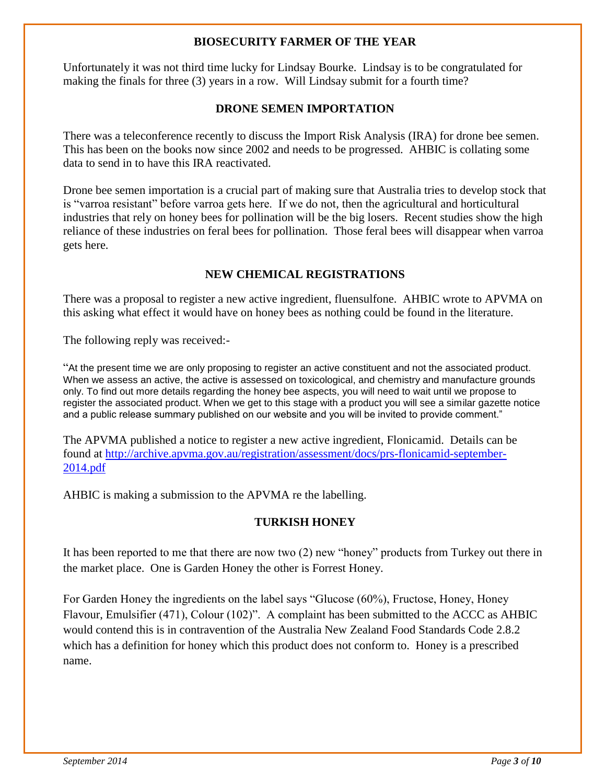#### **BIOSECURITY FARMER OF THE YEAR**

Unfortunately it was not third time lucky for Lindsay Bourke. Lindsay is to be congratulated for making the finals for three (3) years in a row. Will Lindsay submit for a fourth time?

#### **DRONE SEMEN IMPORTATION**

There was a teleconference recently to discuss the Import Risk Analysis (IRA) for drone bee semen. This has been on the books now since 2002 and needs to be progressed. AHBIC is collating some data to send in to have this IRA reactivated.

Drone bee semen importation is a crucial part of making sure that Australia tries to develop stock that is "varroa resistant" before varroa gets here. If we do not, then the agricultural and horticultural industries that rely on honey bees for pollination will be the big losers. Recent studies show the high reliance of these industries on feral bees for pollination. Those feral bees will disappear when varroa gets here.

#### **NEW CHEMICAL REGISTRATIONS**

There was a proposal to register a new active ingredient, fluensulfone. AHBIC wrote to APVMA on this asking what effect it would have on honey bees as nothing could be found in the literature.

The following reply was received:-

"At the present time we are only proposing to register an active constituent and not the associated product. When we assess an active, the active is assessed on toxicological, and chemistry and manufacture grounds only. To find out more details regarding the honey bee aspects, you will need to wait until we propose to register the associated product. When we get to this stage with a product you will see a similar gazette notice and a public release summary published on our website and you will be invited to provide comment."

The APVMA published a notice to register a new active ingredient, Flonicamid. Details can be found at [http://archive.apvma.gov.au/registration/assessment/docs/prs-flonicamid-september-](http://archive.apvma.gov.au/registration/assessment/docs/prs-flonicamid-september-2014.pdf)[2014.pdf](http://archive.apvma.gov.au/registration/assessment/docs/prs-flonicamid-september-2014.pdf)

AHBIC is making a submission to the APVMA re the labelling.

#### **TURKISH HONEY**

It has been reported to me that there are now two (2) new "honey" products from Turkey out there in the market place. One is Garden Honey the other is Forrest Honey.

For Garden Honey the ingredients on the label says "Glucose (60%), Fructose, Honey, Honey Flavour, Emulsifier (471), Colour (102)". A complaint has been submitted to the ACCC as AHBIC would contend this is in contravention of the Australia New Zealand Food Standards Code 2.8.2 which has a definition for honey which this product does not conform to. Honey is a prescribed name.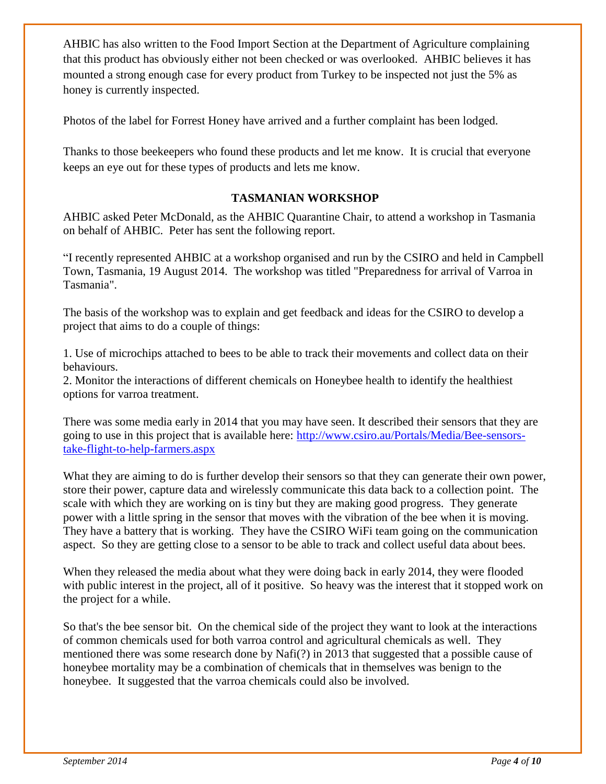AHBIC has also written to the Food Import Section at the Department of Agriculture complaining that this product has obviously either not been checked or was overlooked. AHBIC believes it has mounted a strong enough case for every product from Turkey to be inspected not just the 5% as honey is currently inspected.

Photos of the label for Forrest Honey have arrived and a further complaint has been lodged.

Thanks to those beekeepers who found these products and let me know. It is crucial that everyone keeps an eye out for these types of products and lets me know.

#### **TASMANIAN WORKSHOP**

AHBIC asked Peter McDonald, as the AHBIC Quarantine Chair, to attend a workshop in Tasmania on behalf of AHBIC. Peter has sent the following report.

"I recently represented AHBIC at a workshop organised and run by the CSIRO and held in Campbell Town, Tasmania, 19 August 2014. The workshop was titled "Preparedness for arrival of Varroa in Tasmania".

The basis of the workshop was to explain and get feedback and ideas for the CSIRO to develop a project that aims to do a couple of things:

1. Use of microchips attached to bees to be able to track their movements and collect data on their behaviours.

2. Monitor the interactions of different chemicals on Honeybee health to identify the healthiest options for varroa treatment.

There was some media early in 2014 that you may have seen. It described their sensors that they are going to use in this project that is available here: [http://www.csiro.au/Portals/Media/Bee-sensors](http://www.csiro.au/Portals/Media/Bee-sensors-take-flight-to-help-farmers.aspx)[take-flight-to-help-farmers.aspx](http://www.csiro.au/Portals/Media/Bee-sensors-take-flight-to-help-farmers.aspx)

What they are aiming to do is further develop their sensors so that they can generate their own power, store their power, capture data and wirelessly communicate this data back to a collection point. The scale with which they are working on is tiny but they are making good progress. They generate power with a little spring in the sensor that moves with the vibration of the bee when it is moving. They have a battery that is working. They have the CSIRO WiFi team going on the communication aspect. So they are getting close to a sensor to be able to track and collect useful data about bees.

When they released the media about what they were doing back in early 2014, they were flooded with public interest in the project, all of it positive. So heavy was the interest that it stopped work on the project for a while.

So that's the bee sensor bit. On the chemical side of the project they want to look at the interactions of common chemicals used for both varroa control and agricultural chemicals as well. They mentioned there was some research done by Nafi(?) in 2013 that suggested that a possible cause of honeybee mortality may be a combination of chemicals that in themselves was benign to the honeybee. It suggested that the varroa chemicals could also be involved.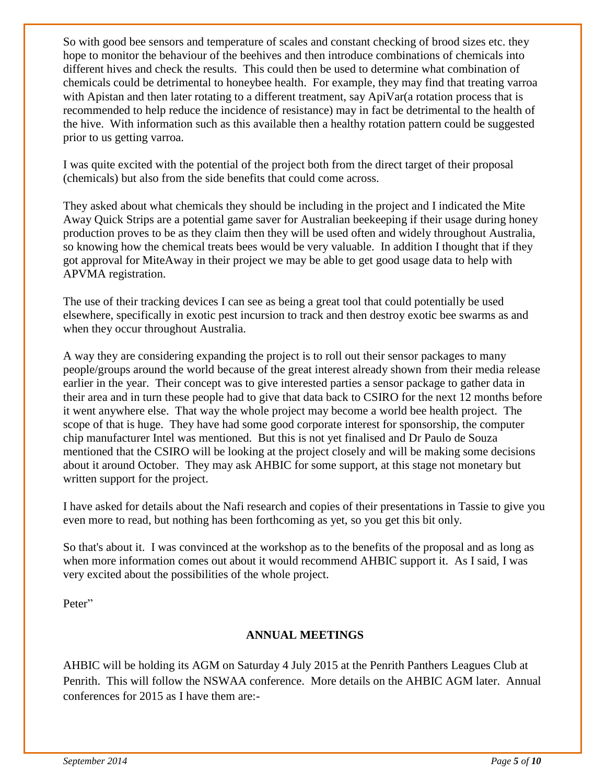So with good bee sensors and temperature of scales and constant checking of brood sizes etc. they hope to monitor the behaviour of the beehives and then introduce combinations of chemicals into different hives and check the results. This could then be used to determine what combination of chemicals could be detrimental to honeybee health. For example, they may find that treating varroa with Apistan and then later rotating to a different treatment, say ApiVar(a rotation process that is recommended to help reduce the incidence of resistance) may in fact be detrimental to the health of the hive. With information such as this available then a healthy rotation pattern could be suggested prior to us getting varroa.

I was quite excited with the potential of the project both from the direct target of their proposal (chemicals) but also from the side benefits that could come across.

They asked about what chemicals they should be including in the project and I indicated the Mite Away Quick Strips are a potential game saver for Australian beekeeping if their usage during honey production proves to be as they claim then they will be used often and widely throughout Australia, so knowing how the chemical treats bees would be very valuable. In addition I thought that if they got approval for MiteAway in their project we may be able to get good usage data to help with APVMA registration.

The use of their tracking devices I can see as being a great tool that could potentially be used elsewhere, specifically in exotic pest incursion to track and then destroy exotic bee swarms as and when they occur throughout Australia.

A way they are considering expanding the project is to roll out their sensor packages to many people/groups around the world because of the great interest already shown from their media release earlier in the year. Their concept was to give interested parties a sensor package to gather data in their area and in turn these people had to give that data back to CSIRO for the next 12 months before it went anywhere else. That way the whole project may become a world bee health project. The scope of that is huge. They have had some good corporate interest for sponsorship, the computer chip manufacturer Intel was mentioned. But this is not yet finalised and Dr Paulo de Souza mentioned that the CSIRO will be looking at the project closely and will be making some decisions about it around October. They may ask AHBIC for some support, at this stage not monetary but written support for the project.

I have asked for details about the Nafi research and copies of their presentations in Tassie to give you even more to read, but nothing has been forthcoming as yet, so you get this bit only.

So that's about it. I was convinced at the workshop as to the benefits of the proposal and as long as when more information comes out about it would recommend AHBIC support it. As I said, I was very excited about the possibilities of the whole project.

Peter"

#### **ANNUAL MEETINGS**

AHBIC will be holding its AGM on Saturday 4 July 2015 at the Penrith Panthers Leagues Club at Penrith. This will follow the NSWAA conference. More details on the AHBIC AGM later. Annual conferences for 2015 as I have them are:-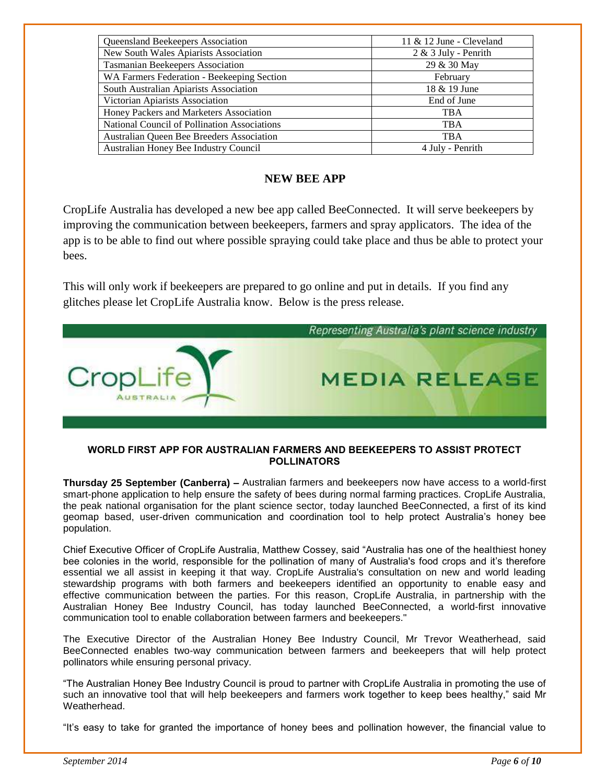| Queensland Beekeepers Association            | 11 $&$ 12 June - Cleveland |  |  |  |
|----------------------------------------------|----------------------------|--|--|--|
| New South Wales Apiarists Association        | $2 & 3$ July - Penrith     |  |  |  |
| <b>Tasmanian Beekeepers Association</b>      | 29 & 30 May                |  |  |  |
| WA Farmers Federation - Beekeeping Section   | February                   |  |  |  |
| South Australian Apiarists Association       | 18 & 19 June               |  |  |  |
| Victorian Apiarists Association              | End of June                |  |  |  |
| Honey Packers and Marketers Association      | <b>TBA</b>                 |  |  |  |
| National Council of Pollination Associations | <b>TBA</b>                 |  |  |  |
| Australian Queen Bee Breeders Association    | <b>TBA</b>                 |  |  |  |
| Australian Honey Bee Industry Council        | 4 July - Penrith           |  |  |  |

#### **NEW BEE APP**

CropLife Australia has developed a new bee app called BeeConnected. It will serve beekeepers by improving the communication between beekeepers, farmers and spray applicators. The idea of the app is to be able to find out where possible spraying could take place and thus be able to protect your bees.

This will only work if beekeepers are prepared to go online and put in details. If you find any glitches please let CropLife Australia know. Below is the press release.



#### **WORLD FIRST APP FOR AUSTRALIAN FARMERS AND BEEKEEPERS TO ASSIST PROTECT POLLINATORS**

**Thursday 25 September (Canberra) –** Australian farmers and beekeepers now have access to a world-first smart-phone application to help ensure the safety of bees during normal farming practices. CropLife Australia, the peak national organisation for the plant science sector, today launched BeeConnected, a first of its kind geomap based, user-driven communication and coordination tool to help protect Australia's honey bee population.

Chief Executive Officer of CropLife Australia, Matthew Cossey, said "Australia has one of the healthiest honey bee colonies in the world, responsible for the pollination of many of Australia's food crops and it's therefore essential we all assist in keeping it that way. CropLife Australia's consultation on new and world leading stewardship programs with both farmers and beekeepers identified an opportunity to enable easy and effective communication between the parties. For this reason, CropLife Australia, in partnership with the Australian Honey Bee Industry Council, has today launched BeeConnected, a world-first innovative communication tool to enable collaboration between farmers and beekeepers."

The Executive Director of the Australian Honey Bee Industry Council, Mr Trevor Weatherhead, said BeeConnected enables two-way communication between farmers and beekeepers that will help protect pollinators while ensuring personal privacy.

"The Australian Honey Bee Industry Council is proud to partner with CropLife Australia in promoting the use of such an innovative tool that will help beekeepers and farmers work together to keep bees healthy," said Mr Weatherhead.

"It's easy to take for granted the importance of honey bees and pollination however, the financial value to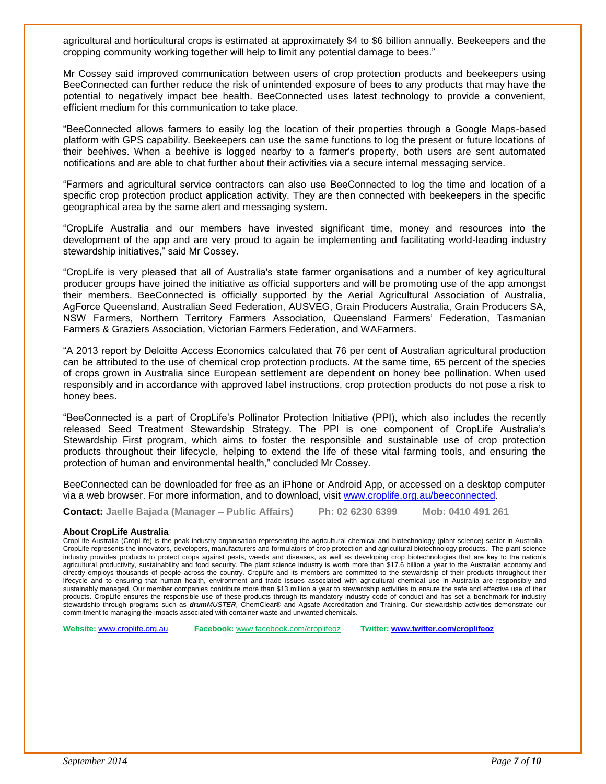agricultural and horticultural crops is estimated at approximately \$4 to \$6 billion annually. Beekeepers and the cropping community working together will help to limit any potential damage to bees."

Mr Cossey said improved communication between users of crop protection products and beekeepers using BeeConnected can further reduce the risk of unintended exposure of bees to any products that may have the potential to negatively impact bee health. BeeConnected uses latest technology to provide a convenient, efficient medium for this communication to take place.

"BeeConnected allows farmers to easily log the location of their properties through a Google Maps-based platform with GPS capability. Beekeepers can use the same functions to log the present or future locations of their beehives. When a beehive is logged nearby to a farmer's property, both users are sent automated notifications and are able to chat further about their activities via a secure internal messaging service.

"Farmers and agricultural service contractors can also use BeeConnected to log the time and location of a specific crop protection product application activity. They are then connected with beekeepers in the specific geographical area by the same alert and messaging system.

"CropLife Australia and our members have invested significant time, money and resources into the development of the app and are very proud to again be implementing and facilitating world-leading industry stewardship initiatives," said Mr Cossey.

"CropLife is very pleased that all of Australia's state farmer organisations and a number of key agricultural producer groups have joined the initiative as official supporters and will be promoting use of the app amongst their members. BeeConnected is officially supported by the Aerial Agricultural Association of Australia, AgForce Queensland, Australian Seed Federation, AUSVEG, Grain Producers Australia, Grain Producers SA, NSW Farmers, Northern Territory Farmers Association, Queensland Farmers' Federation, Tasmanian Farmers & Graziers Association, Victorian Farmers Federation, and WAFarmers.

"A 2013 report by Deloitte Access Economics calculated that 76 per cent of Australian agricultural production can be attributed to the use of chemical crop protection products. At the same time, 65 percent of the species of crops grown in Australia since European settlement are dependent on honey bee pollination. When used responsibly and in accordance with approved label instructions, crop protection products do not pose a risk to honey bees.

"BeeConnected is a part of CropLife's Pollinator Protection Initiative (PPI), which also includes the recently released Seed Treatment Stewardship Strategy. The PPI is one component of CropLife Australia's Stewardship First program, which aims to foster the responsible and sustainable use of crop protection products throughout their lifecycle, helping to extend the life of these vital farming tools, and ensuring the protection of human and environmental health," concluded Mr Cossey.

BeeConnected can be downloaded for free as an iPhone or Android App, or accessed on a desktop computer via a web browser. For more information, and to download, visit [www.croplife.org.au/beeconnected.](http://www.croplife.org.au/beeconnected)

**Contact: Jaelle Bajada (Manager – Public Affairs) Ph: 02 6230 6399 Mob: 0410 491 261**

#### **About CropLife Australia**

CropLife Australia (CropLife) is the peak industry organisation representing the agricultural chemical and biotechnology (plant science) sector in Australia. CropLife represents the innovators, developers, manufacturers and formulators of crop protection and agricultural biotechnology products. The plant science industry provides products to protect crops against pests, weeds and diseases, as well as developing crop biotechnologies that are key to the nation's agricultural productivity, sustainability and food security. The plant science industry is worth more than \$17.6 billion a year to the Australian economy and directly employs thousands of people across the country. CropLife and its members are committed to the stewardship of their products throughout their lifecycle and to ensuring that human health, environment and trade issues associated with agricultural chemical use in Australia are responsibly and sustainably managed. Our member companies contribute more than \$13 million a year to stewardship activities to ensure the safe and effective use of their products. CropLife ensures the responsible use of these products through its mandatory industry code of conduct and has set a benchmark for industry stewardship through programs such as *drumMUSTER,* ChemClear® and Agsafe Accreditation and Training. Our stewardship activities demonstrate our commitment to managing the impacts associated with container waste and unwanted chemicals.

**Website:** [www.croplife.org.au](http://www.croplife.org.au/) **Facebook:** [www.facebook.com/croplifeoz](http://www.facebook.com/croplifeoz) **Twitter[: www.twitter.com/croplifeoz](http://www.twitter.com/croplifeoz)**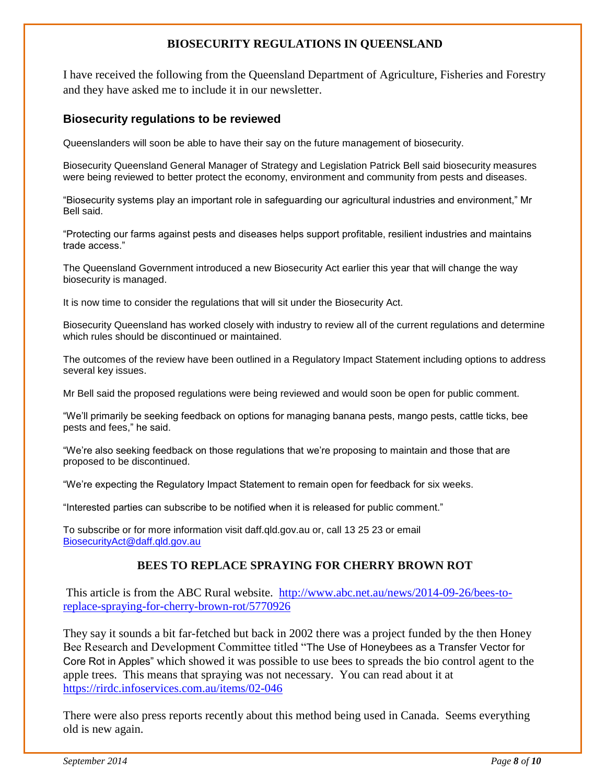#### **BIOSECURITY REGULATIONS IN QUEENSLAND**

I have received the following from the Queensland Department of Agriculture, Fisheries and Forestry and they have asked me to include it in our newsletter.

#### **Biosecurity regulations to be reviewed**

Queenslanders will soon be able to have their say on the future management of biosecurity.

Biosecurity Queensland General Manager of Strategy and Legislation Patrick Bell said biosecurity measures were being reviewed to better protect the economy, environment and community from pests and diseases.

"Biosecurity systems play an important role in safeguarding our agricultural industries and environment," Mr Bell said.

"Protecting our farms against pests and diseases helps support profitable, resilient industries and maintains trade access."

The Queensland Government introduced a new Biosecurity Act earlier this year that will change the way biosecurity is managed.

It is now time to consider the regulations that will sit under the Biosecurity Act.

Biosecurity Queensland has worked closely with industry to review all of the current regulations and determine which rules should be discontinued or maintained.

The outcomes of the review have been outlined in a Regulatory Impact Statement including options to address several key issues.

Mr Bell said the proposed regulations were being reviewed and would soon be open for public comment.

"We'll primarily be seeking feedback on options for managing banana pests, mango pests, cattle ticks, bee pests and fees," he said.

"We're also seeking feedback on those regulations that we're proposing to maintain and those that are proposed to be discontinued.

"We're expecting the Regulatory Impact Statement to remain open for feedback for six weeks.

"Interested parties can subscribe to be notified when it is released for public comment."

To subscribe or for more information visit daff.qld.gov.au or, call 13 25 23 or email [BiosecurityAct@daff.qld.gov.au](mailto:BiosecurityAct@daff.qld.gov.au)

#### **BEES TO REPLACE SPRAYING FOR CHERRY BROWN ROT**

This article is from the ABC Rural website. [http://www.abc.net.au/news/2014-09-26/bees-to](http://www.abc.net.au/news/2014-09-26/bees-to-replace-spraying-for-cherry-brown-rot/5770926)[replace-spraying-for-cherry-brown-rot/5770926](http://www.abc.net.au/news/2014-09-26/bees-to-replace-spraying-for-cherry-brown-rot/5770926)

They say it sounds a bit far-fetched but back in 2002 there was a project funded by the then Honey Bee Research and Development Committee titled "The Use of Honeybees as a Transfer Vector for Core Rot in Apples" which showed it was possible to use bees to spreads the bio control agent to the apple trees. This means that spraying was not necessary. You can read about it at <https://rirdc.infoservices.com.au/items/02-046>

There were also press reports recently about this method being used in Canada. Seems everything old is new again.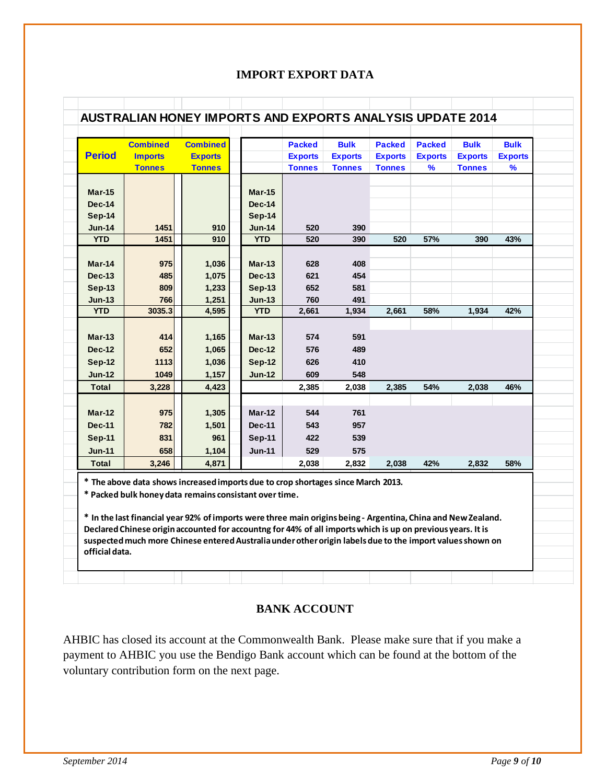#### **IMPORT EXPORT DATA**

| <b>Period</b> | <b>Combined</b> | <b>Combined</b> |               | <b>Packed</b>  | <b>Bulk</b>    | <b>Packed</b>  | <b>Packed</b>  | <b>Bulk</b>    | <b>Bulk</b>    |
|---------------|-----------------|-----------------|---------------|----------------|----------------|----------------|----------------|----------------|----------------|
|               | <b>Imports</b>  | <b>Exports</b>  |               | <b>Exports</b> | <b>Exports</b> | <b>Exports</b> | <b>Exports</b> | <b>Exports</b> | <b>Exports</b> |
|               | <b>Tonnes</b>   | <b>Tonnes</b>   |               | <b>Tonnes</b>  | <b>Tonnes</b>  | <b>Tonnes</b>  | %              | <b>Tonnes</b>  | $\%$           |
| <b>Mar-15</b> |                 |                 | $Mar-15$      |                |                |                |                |                |                |
| <b>Dec-14</b> |                 |                 | <b>Dec-14</b> |                |                |                |                |                |                |
| <b>Sep-14</b> |                 |                 | Sep-14        |                |                |                |                |                |                |
| <b>Jun-14</b> | 1451            | 910             | <b>Jun-14</b> | 520            | 390            |                |                |                |                |
| <b>YTD</b>    | 1451            | 910             | <b>YTD</b>    | 520            | 390            | 520            | 57%            | 390            | 43%            |
| Mar-14        | 975             | 1,036           | $Mar-13$      | 628            | 408            |                |                |                |                |
| <b>Dec-13</b> | 485             | 1,075           | <b>Dec-13</b> | 621            | 454            |                |                |                |                |
| $Sep-13$      | 809             | 1,233           | <b>Sep-13</b> | 652            | 581            |                |                |                |                |
| $Jun-13$      | 766             | 1,251           | <b>Jun-13</b> | 760            | 491            |                |                |                |                |
| <b>YTD</b>    | 3035.3          | 4,595           | <b>YTD</b>    | 2,661          | 1,934          | 2,661          | 58%            | 1,934          | 42%            |
|               |                 |                 |               |                |                |                |                |                |                |
| $Mar-13$      | 414             | 1,165           | <b>Mar-13</b> | 574            | 591            |                |                |                |                |
| <b>Dec-12</b> | 652             | 1,065           | <b>Dec-12</b> | 576            | 489            |                |                |                |                |
| <b>Sep-12</b> | 1113            | 1,036           | <b>Sep-12</b> | 626            | 410            |                |                |                |                |
| <b>Jun-12</b> | 1049            | 1,157           | <b>Jun-12</b> | 609            | 548            |                |                |                |                |
| <b>Total</b>  | 3,228           | 4,423           |               | 2,385          | 2,038          | 2,385          | 54%            | 2,038          | 46%            |
| $Mar-12$      | 975             | 1,305           | $Mar-12$      | 544            | 761            |                |                |                |                |
| <b>Dec-11</b> | 782             | 1,501           | <b>Dec-11</b> | 543            | 957            |                |                |                |                |
| <b>Sep-11</b> | 831             | 961             | Sep-11        | 422            | 539            |                |                |                |                |
| <b>Jun-11</b> | 658             | 1,104           | <b>Jun-11</b> | 529            | 575            |                |                |                |                |
|               | 3,246           | 4,871           |               | 2,038          | 2,832          | 2,038          | 42%            | 2,832          | 58%            |

#### **BANK ACCOUNT**

AHBIC has closed its account at the Commonwealth Bank. Please make sure that if you make a payment to AHBIC you use the Bendigo Bank account which can be found at the bottom of the voluntary contribution form on the next page.